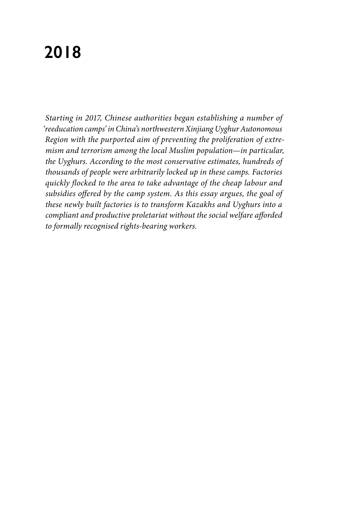# **2018**

*Starting in 2017, Chinese authorities began establishing a number of 'reeducation camps' in China's northwestern Xinjiang Uyghur Autonomous Region with the purported aim of preventing the proliferation of extremism and terrorism among the local Muslim population—in particular, the Uyghurs. According to the most conservative estimates, hundreds of thousands of people were arbitrarily locked up in these camps. Factories quickly flocked to the area to take advantage of the cheap labour and subsidies offered by the camp system. As this essay argues, the goal of these newly built factories is to transform Kazakhs and Uyghurs into a compliant and productive proletariat without the social welfare afforded to formally recognised rights-bearing workers.*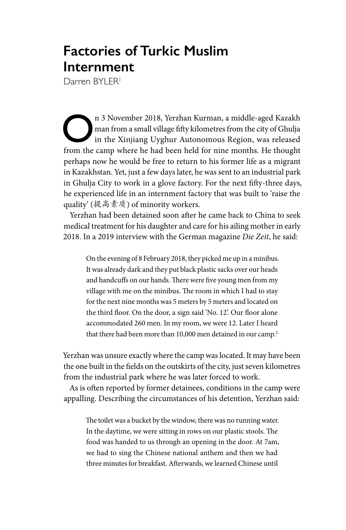## **Factories of Turkic Muslim Internment**

Darren BYI FR<sup>1</sup>

n 3 November 2018, Yerzhan Kurman, a middle-aged Kazakh man from a small village fifty kilometres from the city of Ghulja in the Xinjiang Uyghur Autonomous Region, was released from the camp where he had been held for nine man from a small village fifty kilometres from the city of Ghulja from the camp where he had been held for nine months. He thought perhaps now he would be free to return to his former life as a migrant in Kazakhstan. Yet, just a few days later, he was sent to an industrial park in Ghulja City to work in a glove factory. For the next fifty-three days, he experienced life in an internment factory that was built to 'raise the quality' (提高素质) of minority workers.

Yerzhan had been detained soon after he came back to China to seek medical treatment for his daughter and care for his ailing mother in early 2018. In a 2019 interview with the German magazine *Die Zeit*, he said:

On the evening of 8 February 2018, they picked me up in a minibus. It was already dark and they put black plastic sacks over our heads and handcuffs on our hands. There were five young men from my village with me on the minibus. The room in which I had to stay for the next nine months was 5 meters by 5 meters and located on the third floor. On the door, a sign said 'No. 12'. Our floor alone accommodated 260 men. In my room, we were 12. Later I heard that there had been more than 10,000 men detained in our camp.<sup>2</sup>

Yerzhan was unsure exactly where the camp was located. It may have been the one built in the fields on the outskirts of the city, just seven kilometres from the industrial park where he was later forced to work.

As is often reported by former detainees, conditions in the camp were appalling. Describing the circumstances of his detention, Yerzhan said:

The toilet was a bucket by the window, there was no running water. In the daytime, we were sitting in rows on our plastic stools. The food was handed to us through an opening in the door. At 7am, we had to sing the Chinese national anthem and then we had three minutes for breakfast. Afterwards, we learned Chinese until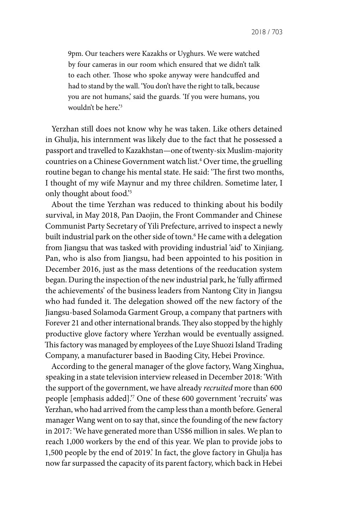9pm. Our teachers were Kazakhs or Uyghurs. We were watched by four cameras in our room which ensured that we didn't talk to each other. Those who spoke anyway were handcuffed and had to stand by the wall. 'You don't have the right to talk, because you are not humans,' said the guards. 'If you were humans, you wouldn't be here.'3

Yerzhan still does not know why he was taken. Like others detained in Ghulja, his internment was likely due to the fact that he possessed a passport and travelled to Kazakhstan—one of twenty-six Muslim-majority countries on a Chinese Government watch list.4 Over time, the gruelling routine began to change his mental state. He said: 'The first two months, I thought of my wife Maynur and my three children. Sometime later, I only thought about food.'5

About the time Yerzhan was reduced to thinking about his bodily survival, in May 2018, Pan Daojin, the Front Commander and Chinese Communist Party Secretary of Yili Prefecture, arrived to inspect a newly built industrial park on the other side of town.6 He came with a delegation from Jiangsu that was tasked with providing industrial 'aid' to Xinjiang. Pan, who is also from Jiangsu, had been appointed to his position in December 2016, just as the mass detentions of the reeducation system began. During the inspection of the new industrial park, he 'fully affirmed the achievements' of the business leaders from Nantong City in Jiangsu who had funded it. The delegation showed off the new factory of the Jiangsu-based Solamoda Garment Group, a company that partners with Forever 21 and other international brands. They also stopped by the highly productive glove factory where Yerzhan would be eventually assigned. This factory was managed by employees of the Luye Shuozi Island Trading Company, a manufacturer based in Baoding City, Hebei Province.

According to the general manager of the glove factory, Wang Xinghua, speaking in a state television interview released in December 2018: 'With the support of the government, we have already *recruited* more than 600 people [emphasis added].'7 One of these 600 government 'recruits' was Yerzhan, who had arrived from the camp less than a month before. General manager Wang went on to say that, since the founding of the new factory in 2017: 'We have generated more than US\$6 million in sales. We plan to reach 1,000 workers by the end of this year. We plan to provide jobs to 1,500 people by the end of 2019.' In fact, the glove factory in Ghulja has now far surpassed the capacity of its parent factory, which back in Hebei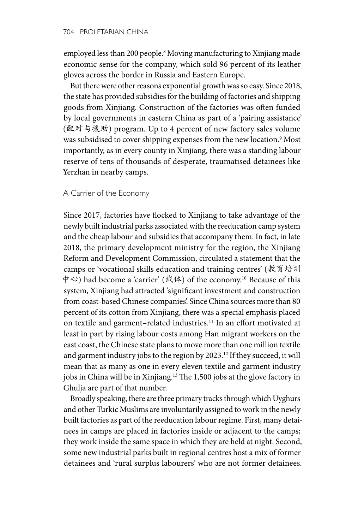employed less than 200 people.8 Moving manufacturing to Xinjiang made economic sense for the company, which sold 96 percent of its leather gloves across the border in Russia and Eastern Europe.

But there were other reasons exponential growth was so easy. Since 2018, the state has provided subsidies for the building of factories and shipping goods from Xinjiang. Construction of the factories was often funded by local governments in eastern China as part of a 'pairing assistance' (配对与援助) program. Up to 4 percent of new factory sales volume was subsidised to cover shipping expenses from the new location.9 Most importantly, as in every county in Xinjiang, there was a standing labour reserve of tens of thousands of desperate, traumatised detainees like Yerzhan in nearby camps.

### A Carrier of the Economy

Since 2017, factories have flocked to Xinjiang to take advantage of the newly built industrial parks associated with the reeducation camp system and the cheap labour and subsidies that accompany them. In fact, in late 2018, the primary development ministry for the region, the Xinjiang Reform and Development Commission, circulated a statement that the camps or 'vocational skills education and training centres' (教育培训 中心) had become a 'carrier' (载体) of the economy.10 Because of this system, Xinjiang had attracted 'significant investment and construction from coast-based Chinese companies'. Since China sources more than 80 percent of its cotton from Xinjiang, there was a special emphasis placed on textile and garment-related industries.<sup>11</sup> In an effort motivated at least in part by rising labour costs among Han migrant workers on the east coast, the Chinese state plans to move more than one million textile and garment industry jobs to the region by 2023.<sup>12</sup> If they succeed, it will mean that as many as one in every eleven textile and garment industry jobs in China will be in Xinjiang.<sup>13</sup> The 1,500 jobs at the glove factory in Ghulja are part of that number.

Broadly speaking, there are three primary tracks through which Uyghurs and other Turkic Muslims are involuntarily assigned to work in the newly built factories as part of the reeducation labour regime. First, many detainees in camps are placed in factories inside or adjacent to the camps; they work inside the same space in which they are held at night. Second, some new industrial parks built in regional centres host a mix of former detainees and 'rural surplus labourers' who are not former detainees.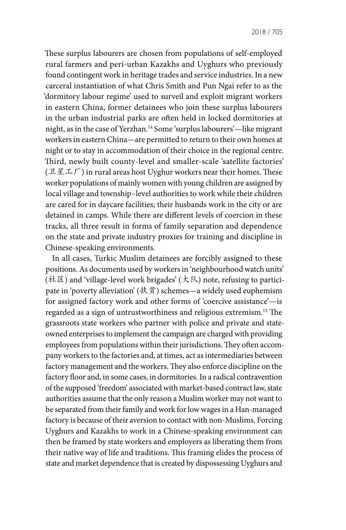These surplus labourers are chosen from populations of self-employed rural farmers and peri-urban Kazakhs and Uyghurs who previously found contingent work in heritage trades and service industries. In a new carceral instantiation of what Chris Smith and Pun Ngai refer to as the 'dormitory labour regime' used to surveil and exploit migrant workers in eastern China, former detainees who join these surplus labourers in the urban industrial parks are often held in locked dormitories at night, as in the case of Yerzhan.14 Some 'surplus labourers'—like migrant workers in eastern China—are permitted to return to their own homes at night or to stay in accommodation of their choice in the regional centre. Third, newly built county-level and smaller-scale 'satellite factories'  $(\mathbb{R} \mathbb{Z} \mathbb{Z} \mathcal{F})$  in rural areas host Uyghur workers near their homes. These worker populations of mainly women with young children are assigned by local village and township–level authorities to work while their children are cared for in daycare facilities; their husbands work in the city or are detained in camps. While there are different levels of coercion in these tracks, all three result in forms of family separation and dependence on the state and private industry proxies for training and discipline in Chinese-speaking environments.

In all cases, Turkic Muslim detainees are forcibly assigned to these positions. As documents used by workers in 'neighbourhood watch units' (社区) and 'village-level work brigades' (大队) note, refusing to participate in 'poverty alleviation' (扶贫) schemes—a widely used euphemism for assigned factory work and other forms of 'coercive assistance'—is regarded as a sign of untrustworthiness and religious extremism.15 The grassroots state workers who partner with police and private and stateowned enterprises to implement the campaign are charged with providing employees from populations within their jurisdictions. They often accompany workers to the factories and, at times, act as intermediaries between factory management and the workers. They also enforce discipline on the factory floor and, in some cases, in dormitories. In a radical contravention of the supposed 'freedom' associated with market-based contract law, state authorities assume that the only reason a Muslim worker may not want to be separated from their family and work for low wages in a Han-managed factory is because of their aversion to contact with non-Muslims. Forcing Uyghurs and Kazakhs to work in a Chinese-speaking environment can then be framed by state workers and employers as liberating them from their native way of life and traditions. This framing elides the process of state and market dependence that is created by dispossessing Uyghurs and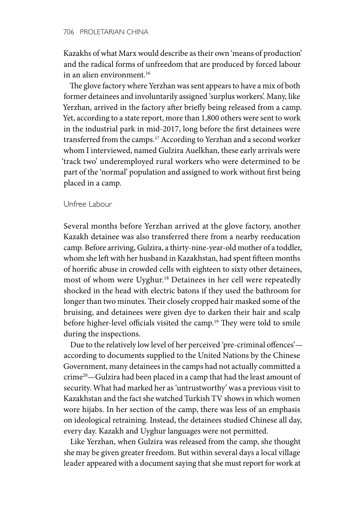Kazakhs of what Marx would describe as their own 'means of production' and the radical forms of unfreedom that are produced by forced labour in an alien environment.<sup>16</sup>

The glove factory where Yerzhan was sent appears to have a mix of both former detainees and involuntarily assigned 'surplus workers'. Many, like Yerzhan, arrived in the factory after briefly being released from a camp. Yet, according to a state report, more than 1,800 others were sent to work in the industrial park in mid-2017, long before the first detainees were transferred from the camps.17 According to Yerzhan and a second worker whom I interviewed, named Gulzira Auelkhan, these early arrivals were 'track two' underemployed rural workers who were determined to be part of the 'normal' population and assigned to work without first being placed in a camp.

#### Unfree Labour

Several months before Yerzhan arrived at the glove factory, another Kazakh detainee was also transferred there from a nearby reeducation camp. Before arriving, Gulzira, a thirty-nine-year-old mother of a toddler, whom she left with her husband in Kazakhstan, had spent fifteen months of horrific abuse in crowded cells with eighteen to sixty other detainees, most of whom were Uyghur.18 Detainees in her cell were repeatedly shocked in the head with electric batons if they used the bathroom for longer than two minutes. Their closely cropped hair masked some of the bruising, and detainees were given dye to darken their hair and scalp before higher-level officials visited the camp.<sup>19</sup> They were told to smile during the inspections.

Due to the relatively low level of her perceived 'pre-criminal offences' according to documents supplied to the United Nations by the Chinese Government, many detainees in the camps had not actually committed a crime20—Gulzira had been placed in a camp that had the least amount of security. What had marked her as 'untrustworthy' was a previous visit to Kazakhstan and the fact she watched Turkish TV shows in which women wore hijabs. In her section of the camp, there was less of an emphasis on ideological retraining. Instead, the detainees studied Chinese all day, every day. Kazakh and Uyghur languages were not permitted.

Like Yerzhan, when Gulzira was released from the camp, she thought she may be given greater freedom. But within several days a local village leader appeared with a document saying that she must report for work at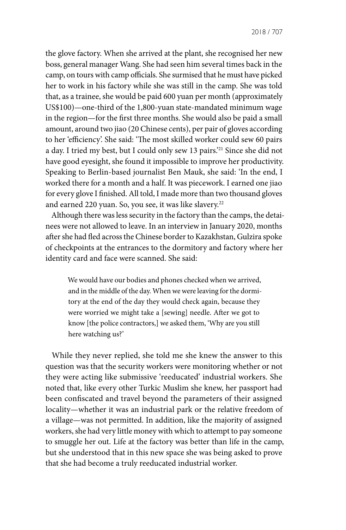the glove factory. When she arrived at the plant, she recognised her new boss, general manager Wang. She had seen him several times back in the camp, on tours with camp officials. She surmised that he must have picked her to work in his factory while she was still in the camp. She was told that, as a trainee, she would be paid 600 yuan per month (approximately US\$100)—one-third of the 1,800-yuan state-mandated minimum wage in the region—for the first three months. She would also be paid a small amount, around two jiao (20 Chinese cents), per pair of gloves according to her 'efficiency'. She said: 'The most skilled worker could sew 60 pairs a day. I tried my best, but I could only sew 13 pairs.'21 Since she did not have good eyesight, she found it impossible to improve her productivity. Speaking to Berlin-based journalist Ben Mauk, she said: 'In the end, I worked there for a month and a half. It was piecework. I earned one jiao for every glove I finished. All told, I made more than two thousand gloves and earned 220 yuan. So, you see, it was like slavery.<sup>22</sup>

Although there was less security in the factory than the camps, the detainees were not allowed to leave. In an interview in January 2020, months after she had fled across the Chinese border to Kazakhstan, Gulzira spoke of checkpoints at the entrances to the dormitory and factory where her identity card and face were scanned. She said:

We would have our bodies and phones checked when we arrived, and in the middle of the day. When we were leaving for the dormitory at the end of the day they would check again, because they were worried we might take a [sewing] needle. After we got to know [the police contractors,] we asked them, 'Why are you still here watching us?'

While they never replied, she told me she knew the answer to this question was that the security workers were monitoring whether or not they were acting like submissive 'reeducated' industrial workers. She noted that, like every other Turkic Muslim she knew, her passport had been confiscated and travel beyond the parameters of their assigned locality—whether it was an industrial park or the relative freedom of a village—was not permitted. In addition, like the majority of assigned workers, she had very little money with which to attempt to pay someone to smuggle her out. Life at the factory was better than life in the camp, but she understood that in this new space she was being asked to prove that she had become a truly reeducated industrial worker.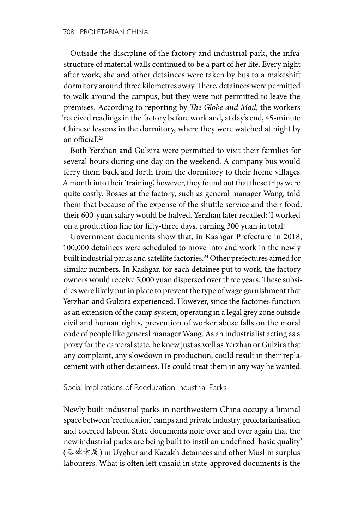Outside the discipline of the factory and industrial park, the infrastructure of material walls continued to be a part of her life. Every night after work, she and other detainees were taken by bus to a makeshift dormitory around three kilometres away. There, detainees were permitted to walk around the campus, but they were not permitted to leave the premises. According to reporting by *The Globe and Mail*, the workers 'received readings in the factory before work and, at day's end, 45-minute Chinese lessons in the dormitory, where they were watched at night by an official?<sup>23</sup>

Both Yerzhan and Gulzira were permitted to visit their families for several hours during one day on the weekend. A company bus would ferry them back and forth from the dormitory to their home villages. A month into their 'training', however, they found out that these trips were quite costly. Bosses at the factory, such as general manager Wang, told them that because of the expense of the shuttle service and their food, their 600-yuan salary would be halved. Yerzhan later recalled: 'I worked on a production line for fifty-three days, earning 300 yuan in total.'

Government documents show that, in Kashgar Prefecture in 2018, 100,000 detainees were scheduled to move into and work in the newly built industrial parks and satellite factories.<sup>24</sup> Other prefectures aimed for similar numbers. In Kashgar, for each detainee put to work, the factory owners would receive 5,000 yuan dispersed over three years. These subsidies were likely put in place to prevent the type of wage garnishment that Yerzhan and Gulzira experienced. However, since the factories function as an extension of the camp system, operating in a legal grey zone outside civil and human rights, prevention of worker abuse falls on the moral code of people like general manager Wang. As an industrialist acting as a proxy for the carceral state, he knew just as well as Yerzhan or Gulzira that any complaint, any slowdown in production, could result in their replacement with other detainees. He could treat them in any way he wanted.

Social Implications of Reeducation Industrial Parks

Newly built industrial parks in northwestern China occupy a liminal space between 'reeducation' camps and private industry, proletarianisation and coerced labour. State documents note over and over again that the new industrial parks are being built to instil an undefined 'basic quality' (基础素质) in Uyghur and Kazakh detainees and other Muslim surplus labourers. What is often left unsaid in state-approved documents is the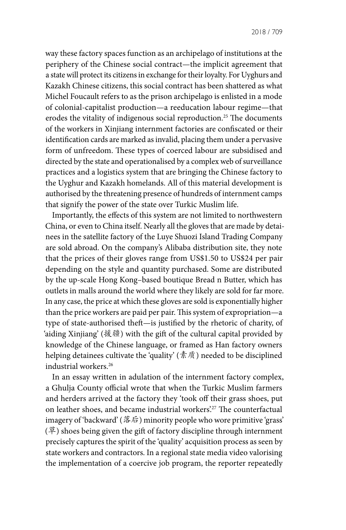way these factory spaces function as an archipelago of institutions at the periphery of the Chinese social contract—the implicit agreement that a state will protect its citizens in exchange for their loyalty. For Uyghurs and Kazakh Chinese citizens, this social contract has been shattered as what Michel Foucault refers to as the prison archipelago is enlisted in a mode of colonial-capitalist production—a reeducation labour regime—that erodes the vitality of indigenous social reproduction.25 The documents of the workers in Xinjiang internment factories are confiscated or their identification cards are marked as invalid, placing them under a pervasive form of unfreedom. These types of coerced labour are subsidised and directed by the state and operationalised by a complex web of surveillance practices and a logistics system that are bringing the Chinese factory to the Uyghur and Kazakh homelands. All of this material development is authorised by the threatening presence of hundreds of internment camps that signify the power of the state over Turkic Muslim life.

Importantly, the effects of this system are not limited to northwestern China, or even to China itself. Nearly all the gloves that are made by detainees in the satellite factory of the Luye Shuozi Island Trading Company are sold abroad. On the company's Alibaba distribution site, they note that the prices of their gloves range from US\$1.50 to US\$24 per pair depending on the style and quantity purchased. Some are distributed by the up-scale Hong Kong–based boutique Bread n Butter, which has outlets in malls around the world where they likely are sold for far more. In any case, the price at which these gloves are sold is exponentially higher than the price workers are paid per pair. This system of expropriation—a type of state-authorised theft—is justified by the rhetoric of charity, of 'aiding Xinjiang' (援疆) with the gift of the cultural capital provided by knowledge of the Chinese language, or framed as Han factory owners helping detainees cultivate the 'quality' ( $\bar{\ddot{\mathcal{R}}}$ ) needed to be disciplined industrial workers.26

In an essay written in adulation of the internment factory complex, a Ghulja County official wrote that when the Turkic Muslim farmers and herders arrived at the factory they 'took off their grass shoes, put on leather shoes, and became industrial workers'.<sup>27</sup> The counterfactual imagery of 'backward' (落后) minority people who wore primitive 'grass'  $(\ddot{\mp})$  shoes being given the gift of factory discipline through internment precisely captures the spirit of the 'quality' acquisition process as seen by state workers and contractors. In a regional state media video valorising the implementation of a coercive job program, the reporter repeatedly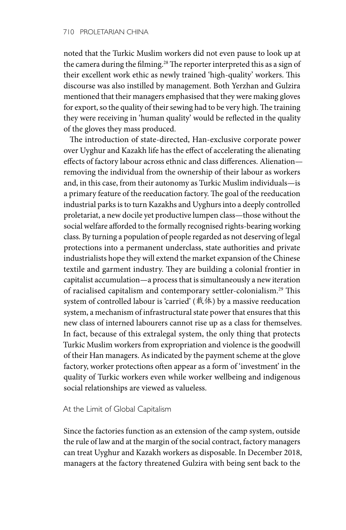noted that the Turkic Muslim workers did not even pause to look up at the camera during the filming.<sup>28</sup> The reporter interpreted this as a sign of their excellent work ethic as newly trained 'high-quality' workers. This discourse was also instilled by management. Both Yerzhan and Gulzira mentioned that their managers emphasised that they were making gloves for export, so the quality of their sewing had to be very high. The training they were receiving in 'human quality' would be reflected in the quality of the gloves they mass produced.

The introduction of state-directed, Han-exclusive corporate power over Uyghur and Kazakh life has the effect of accelerating the alienating effects of factory labour across ethnic and class differences. Alienation removing the individual from the ownership of their labour as workers and, in this case, from their autonomy as Turkic Muslim individuals—is a primary feature of the reeducation factory. The goal of the reeducation industrial parks is to turn Kazakhs and Uyghurs into a deeply controlled proletariat, a new docile yet productive lumpen class—those without the social welfare afforded to the formally recognised rights-bearing working class. By turning a population of people regarded as not deserving of legal protections into a permanent underclass, state authorities and private industrialists hope they will extend the market expansion of the Chinese textile and garment industry. They are building a colonial frontier in capitalist accumulation—a process that is simultaneously a new iteration of racialised capitalism and contemporary settler-colonialism.29 This system of controlled labour is 'carried' (载体) by a massive reeducation system, a mechanism of infrastructural state power that ensures that this new class of interned labourers cannot rise up as a class for themselves. In fact, because of this extralegal system, the only thing that protects Turkic Muslim workers from expropriation and violence is the goodwill of their Han managers. As indicated by the payment scheme at the glove factory, worker protections often appear as a form of 'investment' in the quality of Turkic workers even while worker wellbeing and indigenous social relationships are viewed as valueless.

### At the Limit of Global Capitalism

Since the factories function as an extension of the camp system, outside the rule of law and at the margin of the social contract, factory managers can treat Uyghur and Kazakh workers as disposable. In December 2018, managers at the factory threatened Gulzira with being sent back to the